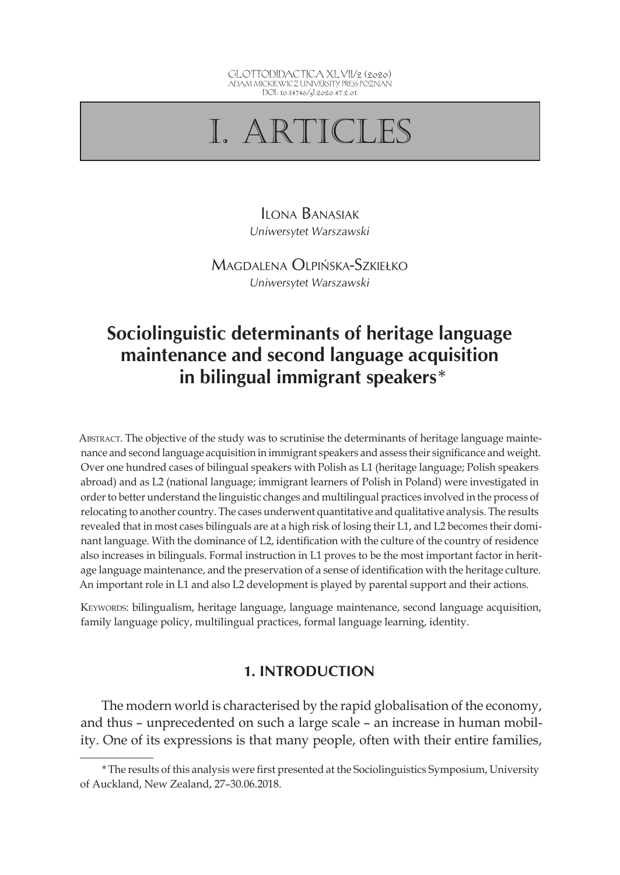

# I. ARTICLES

Ilona Banasiak *Uniwersytet Warszawski*

Magdalena Olpińska-Szkiełko *Uniwersytet Warszawski*

# **Sociolinguistic determinants of heritage language maintenance and second language acquisition in bilingual immigrant speakers**\*

Abstract. The objective of the study was to scrutinise the determinants of heritage language maintenance and second language acquisition in immigrant speakers and assess their significance and weight. Over one hundred cases of bilingual speakers with Polish as L1 (heritage language; Polish speakers abroad) and as L2 (national language; immigrant learners of Polish in Poland) were investigated in order to better understand the linguistic changes and multilingual practices involved in the process of relocating to another country. The cases underwent quantitative and qualitative analysis. The results revealed that in most cases bilinguals are at a high risk of losing their L1, and L2 becomes their dominant language. With the dominance of L2, identification with the culture of the country of residence also increases in bilinguals. Formal instruction in L1 proves to be the most important factor in heritage language maintenance, and the preservation of a sense of identification with the heritage culture. An important role in L1 and also L2 development is played by parental support and their actions.

KEYWORDS: bilingualism, heritage language, language maintenance, second language acquisition, family language policy, multilingual practices, formal language learning, identity.

# **1. INTRODUCTION**

The modern world is characterised by the rapid globalisation of the economy, and thus – unprecedented on such a large scale – an increase in human mobility. One of its expressions is that many people, often with their entire families,

<sup>\*</sup> The results of this analysis were first presented at the Sociolinguistics Symposium, University of Auckland, New Zealand, 27–30.06.2018.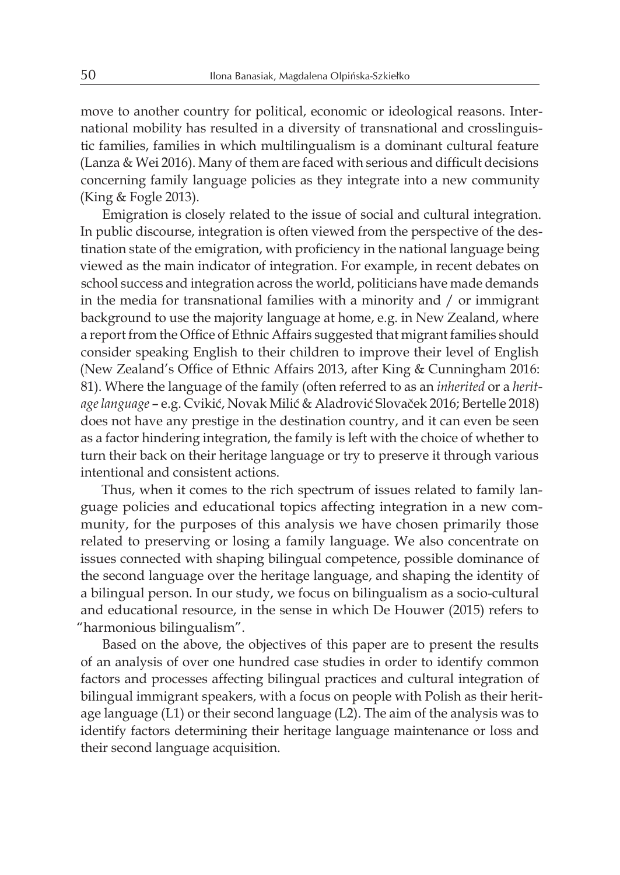move to another country for political, economic or ideological reasons. International mobility has resulted in a diversity of transnational and crosslinguistic families, families in which multilingualism is a dominant cultural feature (Lanza & Wei 2016). Many of them are faced with serious and difficult decisions concerning family language policies as they integrate into a new community (King & Fogle 2013).

Emigration is closely related to the issue of social and cultural integration. In public discourse, integration is often viewed from the perspective of the destination state of the emigration, with proficiency in the national language being viewed as the main indicator of integration. For example, in recent debates on school success and integration across the world, politicians have made demands in the media for transnational families with a minority and / or immigrant background to use the majority language at home, e.g. in New Zealand, where a report from the Office of Ethnic Affairs suggested that migrant families should consider speaking English to their children to improve their level of English (New Zealand's Office of Ethnic Affairs 2013, after King & Cunningham 2016: 81). Where the language of the family (often referred to as an *inherited* or a *heritage language* – e.g. Cvikić, Novak Milić & Aladrović Slovaček 2016; Bertelle 2018) does not have any prestige in the destination country, and it can even be seen as a factor hindering integration, the family is left with the choice of whether to turn their back on their heritage language or try to preserve it through various intentional and consistent actions.

Thus, when it comes to the rich spectrum of issues related to family language policies and educational topics affecting integration in a new community, for the purposes of this analysis we have chosen primarily those related to preserving or losing a family language. We also concentrate on issues connected with shaping bilingual competence, possible dominance of the second language over the heritage language, and shaping the identity of a bilingual person. In our study, we focus on bilingualism as a socio-cultural and educational resource, in the sense in which De Houwer (2015) refers to "harmonious bilingualism".

Based on the above, the objectives of this paper are to present the results of an analysis of over one hundred case studies in order to identify common factors and processes affecting bilingual practices and cultural integration of bilingual immigrant speakers, with a focus on people with Polish as their heritage language (L1) or their second language (L2). The aim of the analysis was to identify factors determining their heritage language maintenance or loss and their second language acquisition.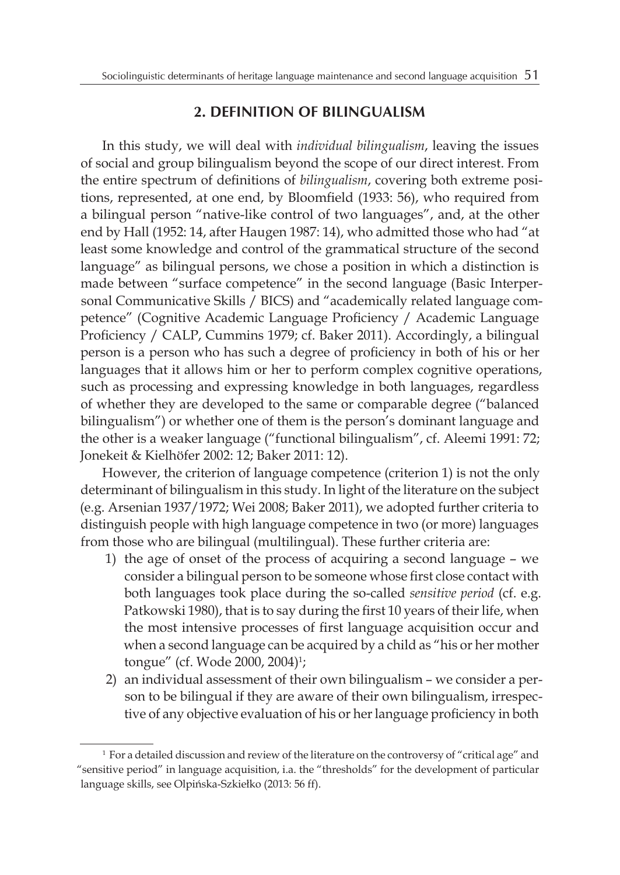# **2. DEFINITION OF BILINGUALISM**

In this study, we will deal with *individual bilingualism*, leaving the issues of social and group bilingualism beyond the scope of our direct interest. From the entire spectrum of definitions of *bilingualism*, covering both extreme positions, represented, at one end, by Bloomfield (1933: 56), who required from a bilingual person "native-like control of two languages", and, at the other end by Hall (1952: 14, after Haugen 1987: 14), who admitted those who had "at least some knowledge and control of the grammatical structure of the second language" as bilingual persons, we chose a position in which a distinction is made between "surface competence" in the second language (Basic Interpersonal Communicative Skills / BICS) and "academically related language competence" (Cognitive Academic Language Proficiency / Academic Language Proficiency / CALP, Cummins 1979; cf. Baker 2011). Accordingly, a bilingual person is a person who has such a degree of proficiency in both of his or her languages that it allows him or her to perform complex cognitive operations, such as processing and expressing knowledge in both languages, regardless of whether they are developed to the same or comparable degree ("balanced bilingualism") or whether one of them is the person's dominant language and the other is a weaker language ("functional bilingualism", cf. Aleemi 1991: 72; Jonekeit & Kielhöfer 2002: 12; Baker 2011: 12).

However, the criterion of language competence (criterion 1) is not the only determinant of bilingualism in this study. In light of the literature on the subject (e.g. Arsenian 1937/1972; Wei 2008; Baker 2011), we adopted further criteria to distinguish people with high language competence in two (or more) languages from those who are bilingual (multilingual). These further criteria are:

- 1) the age of onset of the process of acquiring a second language we consider a bilingual person to be someone whose first close contact with both languages took place during the so-called *sensitive period* (cf. e.g. Patkowski 1980), that is to say during the first 10 years of their life, when the most intensive processes of first language acquisition occur and when a second language can be acquired by a child as "his or her mother tongue" (cf. Wode 2000, 2004)<sup>1</sup>;
- 2) an individual assessment of their own bilingualism we consider a person to be bilingual if they are aware of their own bilingualism, irrespective of any objective evaluation of his or her language proficiency in both

<sup>&</sup>lt;sup>1</sup> For a detailed discussion and review of the literature on the controversy of "critical age" and "sensitive period" in language acquisition, i.a. the "thresholds" for the development of particular language skills, see Olpińska-Szkiełko (2013: 56 ff).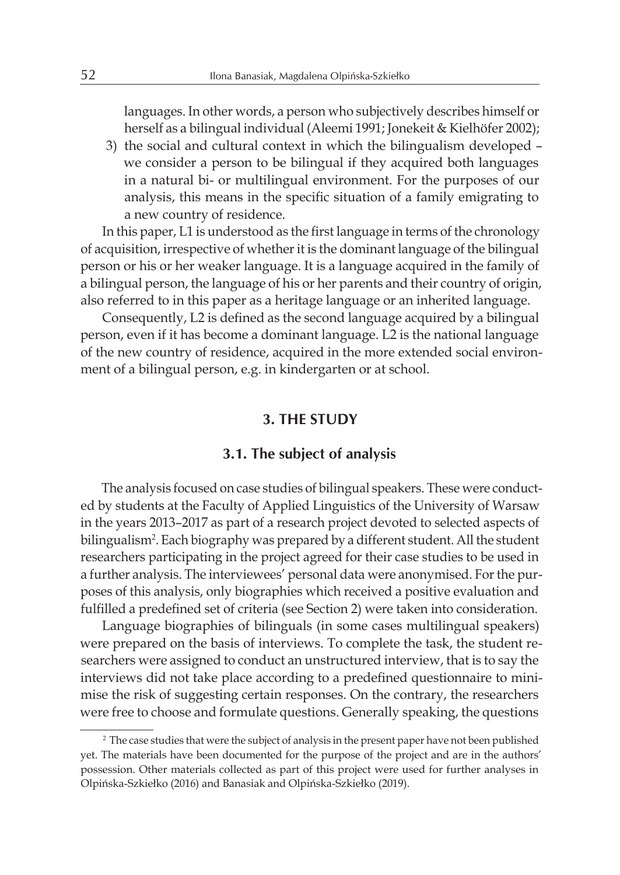languages. In other words, a person who subjectively describes himself or herself as a bilingual individual (Aleemi 1991; Jonekeit & Kielhöfer 2002);

3) the social and cultural context in which the bilingualism developed – we consider a person to be bilingual if they acquired both languages in a natural bi- or multilingual environment. For the purposes of our analysis, this means in the specific situation of a family emigrating to a new country of residence.

In this paper, L1 is understood as the first language in terms of the chronology of acquisition, irrespective of whether it is the dominant language of the bilingual person or his or her weaker language. It is a language acquired in the family of a bilingual person, the language of his or her parents and their country of origin, also referred to in this paper as a heritage language or an inherited language.

Consequently, L2 is defined as the second language acquired by a bilingual person, even if it has become a dominant language. L2 is the national language of the new country of residence, acquired in the more extended social environment of a bilingual person, e.g. in kindergarten or at school.

#### **3. THE STUDY**

#### **3.1. The subject of analysis**

The analysis focused on case studies of bilingual speakers. These were conducted by students at the Faculty of Applied Linguistics of the University of Warsaw in the years 2013–2017 as part of a research project devoted to selected aspects of bilingualism2 . Each biography was prepared by a different student. All the student researchers participating in the project agreed for their case studies to be used in a further analysis. The interviewees' personal data were anonymised. For the purposes of this analysis, only biographies which received a positive evaluation and fulfilled a predefined set of criteria (see Section 2) were taken into consideration.

Language biographies of bilinguals (in some cases multilingual speakers) were prepared on the basis of interviews. To complete the task, the student researchers were assigned to conduct an unstructured interview, that is to say the interviews did not take place according to a predefined questionnaire to minimise the risk of suggesting certain responses. On the contrary, the researchers were free to choose and formulate questions. Generally speaking, the questions

<sup>2</sup> The case studies that were the subject of analysis in the present paper have not been published yet. The materials have been documented for the purpose of the project and are in the authors' possession. Other materials collected as part of this project were used for further analyses in Olpińska-Szkiełko (2016) and Banasiak and Olpińska-Szkiełko (2019).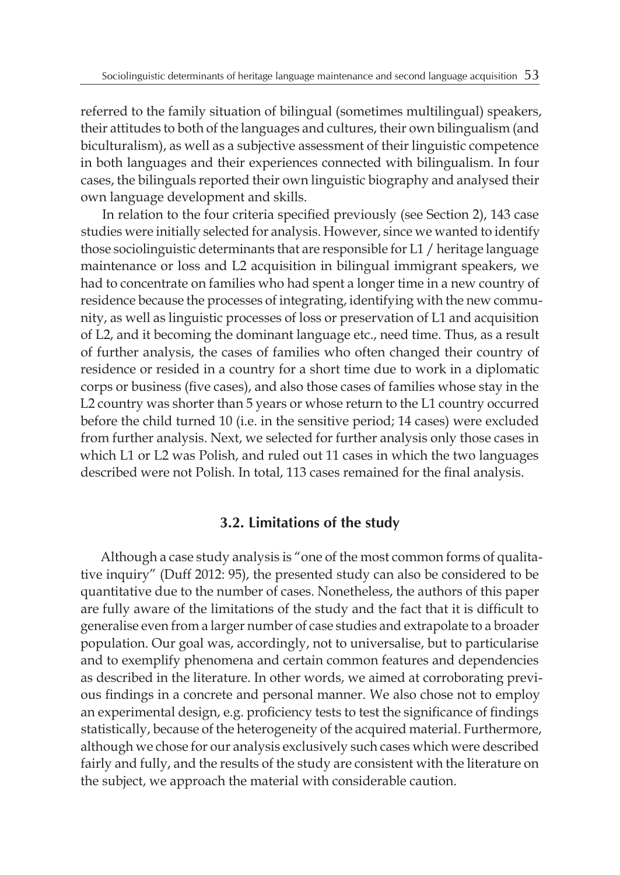referred to the family situation of bilingual (sometimes multilingual) speakers, their attitudes to both of the languages and cultures, their own bilingualism (and biculturalism), as well as a subjective assessment of their linguistic competence in both languages and their experiences connected with bilingualism. In four cases, the bilinguals reported their own linguistic biography and analysed their own language development and skills.

In relation to the four criteria specified previously (see Section 2), 143 case studies were initially selected for analysis. However, since we wanted to identify those sociolinguistic determinants that are responsible for L1 / heritage language maintenance or loss and L2 acquisition in bilingual immigrant speakers, we had to concentrate on families who had spent a longer time in a new country of residence because the processes of integrating, identifying with the new community, as well as linguistic processes of loss or preservation of L1 and acquisition of L2, and it becoming the dominant language etc., need time. Thus, as a result of further analysis, the cases of families who often changed their country of residence or resided in a country for a short time due to work in a diplomatic corps or business (five cases), and also those cases of families whose stay in the L2 country was shorter than 5 years or whose return to the L1 country occurred before the child turned 10 (i.e. in the sensitive period; 14 cases) were excluded from further analysis. Next, we selected for further analysis only those cases in which L1 or L2 was Polish, and ruled out 11 cases in which the two languages described were not Polish. In total, 113 cases remained for the final analysis.

#### **3.2. Limitations of the study**

Although a case study analysis is "one of the most common forms of qualitative inquiry" (Duff 2012: 95), the presented study can also be considered to be quantitative due to the number of cases. Nonetheless, the authors of this paper are fully aware of the limitations of the study and the fact that it is difficult to generalise even from a larger number of case studies and extrapolate to a broader population. Our goal was, accordingly, not to universalise, but to particularise and to exemplify phenomena and certain common features and dependencies as described in the literature. In other words, we aimed at corroborating previous findings in a concrete and personal manner. We also chose not to employ an experimental design, e.g. proficiency tests to test the significance of findings statistically, because of the heterogeneity of the acquired material. Furthermore, although we chose for our analysis exclusively such cases which were described fairly and fully, and the results of the study are consistent with the literature on the subject, we approach the material with considerable caution.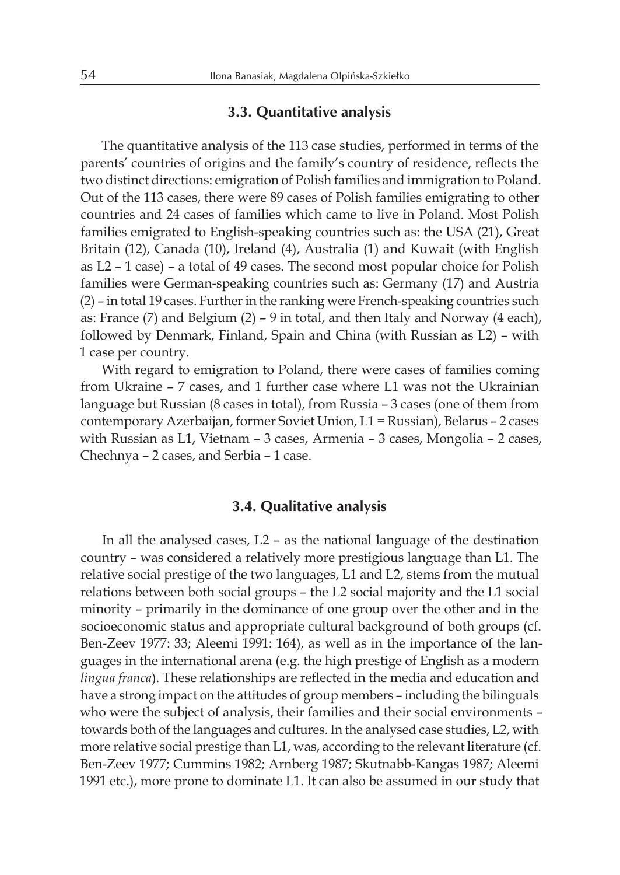#### **3.3. Quantitative analysis**

The quantitative analysis of the 113 case studies, performed in terms of the parents' countries of origins and the family's country of residence, reflects the two distinct directions: emigration of Polish families and immigration to Poland. Out of the 113 cases, there were 89 cases of Polish families emigrating to other countries and 24 cases of families which came to live in Poland. Most Polish families emigrated to English-speaking countries such as: the USA (21), Great Britain (12), Canada (10), Ireland (4), Australia (1) and Kuwait (with English as L2 – 1 case) – a total of 49 cases. The second most popular choice for Polish families were German-speaking countries such as: Germany (17) and Austria (2) – in total 19 cases. Further in the ranking were French-speaking countries such as: France (7) and Belgium (2) – 9 in total, and then Italy and Norway (4 each), followed by Denmark, Finland, Spain and China (with Russian as L2) – with 1 case per country.

With regard to emigration to Poland, there were cases of families coming from Ukraine – 7 cases, and 1 further case where L1 was not the Ukrainian language but Russian (8 cases in total), from Russia – 3 cases (one of them from contemporary Azerbaijan, former Soviet Union, L1 = Russian), Belarus – 2 cases with Russian as L1, Vietnam – 3 cases, Armenia – 3 cases, Mongolia – 2 cases, Chechnya – 2 cases, and Serbia – 1 case.

#### **3.4. Qualitative analysis**

In all the analysed cases, L2 – as the national language of the destination country – was considered a relatively more prestigious language than L1. The relative social prestige of the two languages, L1 and L2, stems from the mutual relations between both social groups – the L2 social majority and the L1 social minority – primarily in the dominance of one group over the other and in the socioeconomic status and appropriate cultural background of both groups (cf. Ben-Zeev 1977: 33; Aleemi 1991: 164), as well as in the importance of the languages in the international arena (e.g. the high prestige of English as a modern *lingua franca*). These relationships are reflected in the media and education and have a strong impact on the attitudes of group members – including the bilinguals who were the subject of analysis, their families and their social environments – towards both of the languages and cultures. In the analysed case studies, L2, with more relative social prestige than L1, was, according to the relevant literature (cf. Ben-Zeev 1977; Cummins 1982; Arnberg 1987; Skutnabb-Kangas 1987; Aleemi 1991 etc.), more prone to dominate L1. It can also be assumed in our study that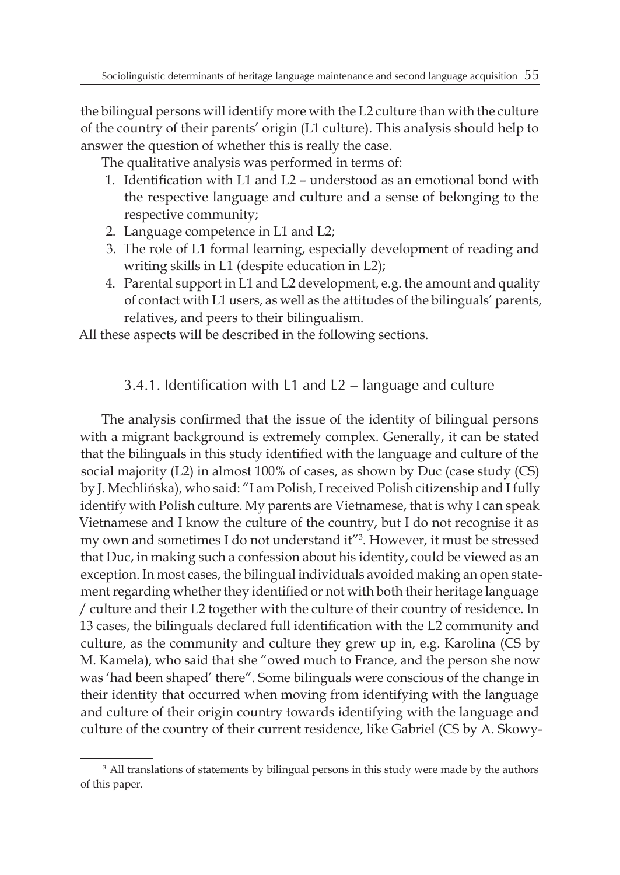the bilingual persons will identify more with the L2 culture than with the culture of the country of their parents' origin (L1 culture). This analysis should help to answer the question of whether this is really the case.

The qualitative analysis was performed in terms of:

- 1. Identification with L1 and L2 understood as an emotional bond with the respective language and culture and a sense of belonging to the respective community;
- 2. Language competence in L1 and L2;
- 3. The role of L1 formal learning, especially development of reading and writing skills in L1 (despite education in L2);
- 4. Parental support in L1 and L2 development, e.g. the amount and quality of contact with L1 users, as well as the attitudes of the bilinguals' parents, relatives, and peers to their bilingualism.

All these aspects will be described in the following sections.

### 3.4.1. Identification with L1 and L2 – language and culture

The analysis confirmed that the issue of the identity of bilingual persons with a migrant background is extremely complex. Generally, it can be stated that the bilinguals in this study identified with the language and culture of the social majority (L2) in almost 100% of cases, as shown by Duc (case study (CS) by J. Mechlińska), who said: "I am Polish, Ireceived Polish citizenship and I fully identify with Polish culture. My parents are Vietnamese, that is why I can speak Vietnamese and I know the culture of the country, but I do not recognise it as my own and sometimes I do not understand it"3 . However, it must be stressed that Duc, in making such a confession about his identity, could be viewed as an exception. In most cases, the bilingual individuals avoided making an open statement regarding whether they identified or not with both their heritage language / culture and their L2 together with the culture of their country of residence. In 13 cases, the bilinguals declared full identification with the L2 community and culture, as the community and culture they grew up in, e.g. Karolina (CS by M. Kamela), who said that she "owed much to France, and the person she now was 'had been shaped' there". Some bilinguals were conscious of the change in their identity that occurred when moving from identifying with the language and culture of their origin country towards identifying with the language and culture of the country of their current residence, like Gabriel (CS by A. Skowy-

<sup>&</sup>lt;sup>3</sup> All translations of statements by bilingual persons in this study were made by the authors of this paper.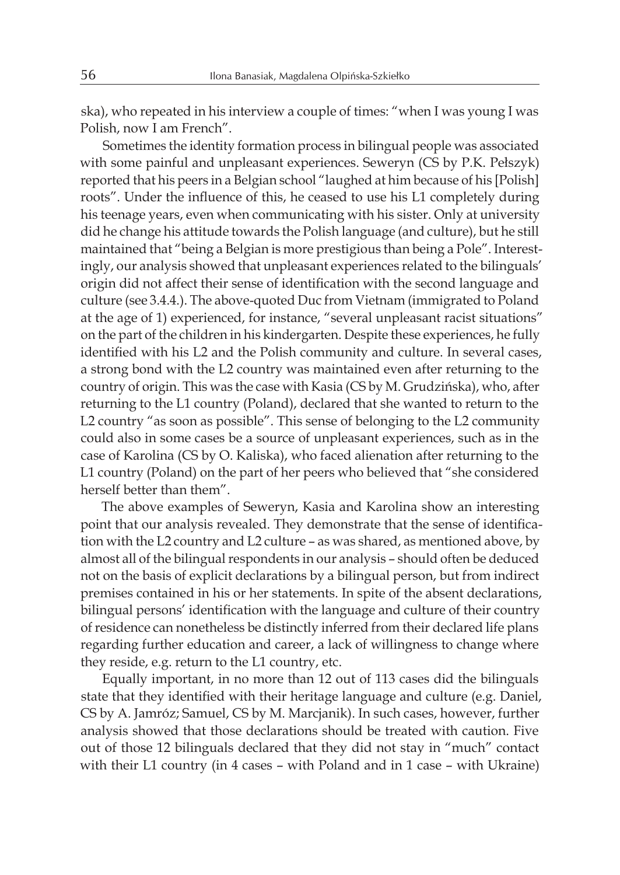ska), who repeated in his interview a couple of times: "when I was young I was Polish, now I am French".

Sometimes the identity formation process in bilingual people was associated with some painful and unpleasant experiences. Seweryn (CS by P.K. Pełszyk) reported that his peers in a Belgian school "laughed at him because of his [Polish] roots". Under the influence of this, he ceased to use his L1 completely during his teenage years, even when communicating with his sister. Only at university did he change his attitude towards the Polish language (and culture), but he still maintained that "being a Belgian is more prestigious than being a Pole". Interestingly, our analysis showed that unpleasant experiences related to the bilinguals' origin did not affect their sense of identification with the second language and culture (see 3.4.4.). The above-quoted Duc from Vietnam (immigrated to Poland at the age of 1) experienced, for instance, "several unpleasant racist situations" on the part of the children in his kindergarten. Despite these experiences, he fully identified with his L2 and the Polish community and culture. In several cases, a strong bond with the L2 country was maintained even after returning to the country of origin. This was the case with Kasia (CS by M. Grudzińska), who, after returning to the L1 country (Poland), declared that she wanted to return to the L2 country "as soon as possible". This sense of belonging to the L2 community could also in some cases be a source of unpleasant experiences, such as in the case of Karolina (CS by O. Kaliska), who faced alienation after returning to the L1 country (Poland) on the part of her peers who believed that "she considered herself better than them".

The above examples of Seweryn, Kasia and Karolina show an interesting point that our analysis revealed. They demonstrate that the sense of identification with the L2 country and L2 culture – as was shared, as mentioned above, by almost all of the bilingual respondents in our analysis – should often be deduced not on the basis of explicit declarations by a bilingual person, but from indirect premises contained in his or her statements. In spite of the absent declarations, bilingual persons' identification with the language and culture of their country of residence can nonetheless be distinctly inferred from their declared life plans regarding further education and career, a lack of willingness to change where they reside, e.g. return to the L1 country, etc.

Equally important, in no more than 12 out of 113 cases did the bilinguals state that they identified with their heritage language and culture (e.g. Daniel, CS by A. Jamróz; Samuel, CS by M. Marcjanik). In such cases, however, further analysis showed that those declarations should be treated with caution. Five out of those 12 bilinguals declared that they did not stay in "much" contact with their L1 country (in 4 cases – with Poland and in 1 case – with Ukraine)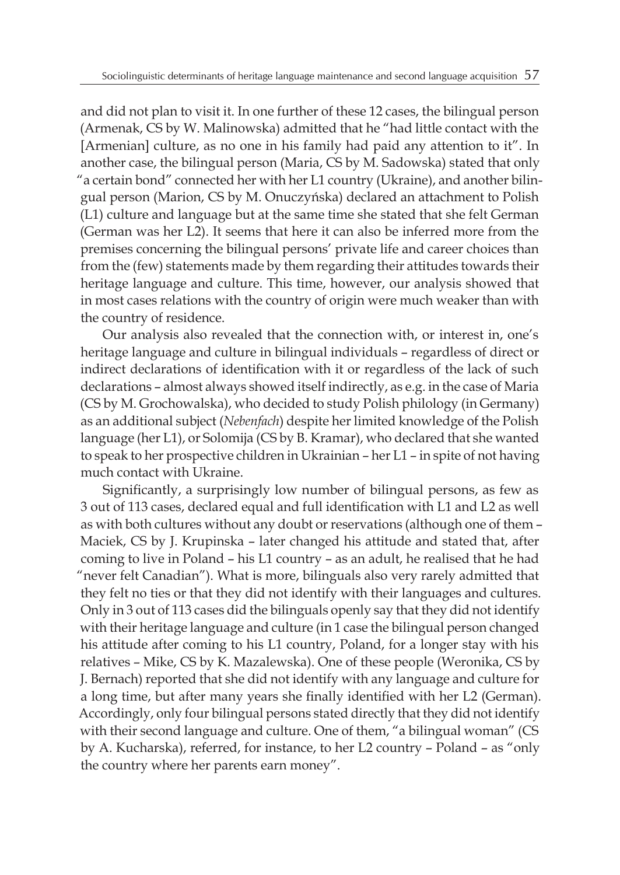and did not plan to visit it. In one further of these 12 cases, the bilingual person (Armenak, CS by W. Malinowska) admitted that he "had little contact with the [Armenian] culture, as no one in his family had paid any attention to it". In another case, the bilingual person (Maria, CS by M. Sadowska) stated that only "a certain bond" connected her with her L1 country (Ukraine), and another bilingual person (Marion, CS by M. Onuczyńska) declared an attachment to Polish (L1) culture and language but at the same time she stated that she felt German (German was her L2). It seems that here it can also be inferred more from the premises concerning the bilingual persons' private life and career choices than from the (few) statements made by them regarding their attitudes towards their heritage language and culture. This time, however, our analysis showed that in most cases relations with the country of origin were much weaker than with the country of residence.

Our analysis also revealed that the connection with, or interest in, one's heritage language and culture in bilingual individuals – regardless of direct or indirect declarations of identification with it or regardless of the lack of such declarations – almost always showed itself indirectly, as e.g. in the case of Maria (CS by M. Grochowalska), who decided to study Polish philology (in Germany) as an additional subject (*Nebenfach*) despite her limited knowledge of the Polish language (her L1), or Solomija (CS by B. Kramar), who declared that she wanted to speak to her prospective children in Ukrainian – her L1 – in spite of not having much contact with Ukraine.

Significantly, a surprisingly low number of bilingual persons, as few as 3 out of 113 cases, declared equal and full identification with L1 and L2 as well as with both cultures without any doubt or reservations (although one of them – Maciek, CS by J. Krupinska – later changed his attitude and stated that, after coming to live in Poland – his L1 country – as an adult, he realised that he had "never felt Canadian"). What is more, bilinguals also very rarely admitted that they felt no ties or that they did not identify with their languages and cultures. Only in 3 out of 113 cases did the bilinguals openly say that they did not identify with their heritage language and culture (in 1 case the bilingual person changed his attitude after coming to his L1 country, Poland, for a longer stay with his relatives – Mike, CS by K. Mazalewska). One of these people (Weronika, CS by J. Bernach) reported that she did not identify with any language and culture for a long time, but after many years she finally identified with her L2 (German). Accordingly, only four bilingual persons stated directly that they did not identify with their second language and culture. One of them, "a bilingual woman" (CS by A. Kucharska), referred, for instance, to her L2 country – Poland – as "only the country where her parents earn money".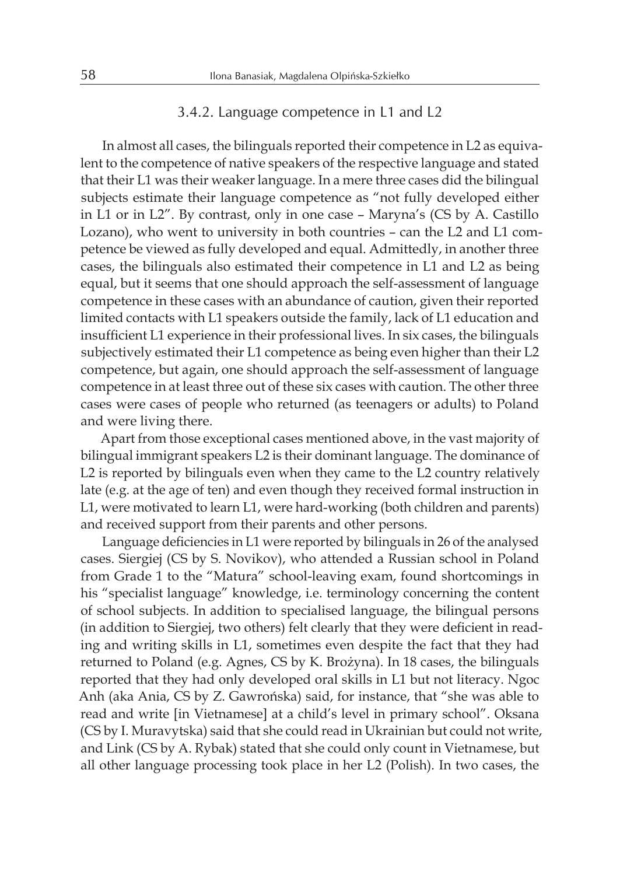#### 3.4.2. Language competence in L1 and L2

In almost all cases, the bilinguals reported their competence in L2 as equivalent to the competence of native speakers of the respective language and stated that their L1 was their weaker language. In a mere three cases did the bilingual subjects estimate their language competence as "not fully developed either in L1 or in L2". By contrast, only in one case – Maryna's (CS by A. Castillo Lozano), who went to university in both countries – can the L2 and L1 competence be viewed as fully developed and equal. Admittedly, in another three cases, the bilinguals also estimated their competence in L1 and L2 as being equal, but it seems that one should approach the self-assessment of language competence in these cases with an abundance of caution, given their reported limited contacts with L1 speakers outside the family, lack of L1 education and insufficient L1 experience in their professional lives. In six cases, the bilinguals subjectively estimated their L1 competence as being even higher than their L2 competence, but again, one should approach the self-assessment of language competence in at least three out of these six cases with caution. The other three cases were cases of people who returned (as teenagers or adults) to Poland and were living there.

Apart from those exceptional cases mentioned above, in the vast majority of bilingual immigrant speakers L2 is their dominant language. The dominance of L2 is reported by bilinguals even when they came to the L2 country relatively late (e.g. at the age of ten) and even though they received formal instruction in L1, were motivated to learn L1, were hard-working (both children and parents) and received support from their parents and other persons.

Language deficiencies in L1 were reported by bilinguals in 26 of the analysed cases. Siergiej (CS by S. Novikov), who attended a Russian school in Poland from Grade 1 to the "Matura" school-leaving exam, found shortcomings in his "specialist language" knowledge, i.e. terminology concerning the content of school subjects. In addition to specialised language, the bilingual persons (in addition to Siergiej, two others) felt clearly that they were deficient in reading and writing skills in L1, sometimes even despite the fact that they had returned to Poland (e.g. Agnes, CS by K. Brożyna). In 18 cases, the bilinguals reported that they had only developed oral skills in L1 but not literacy. Ngoc Anh (aka Ania, CS by Z. Gawrońska) said, for instance, that "she was able to read and write [in Vietnamese] at a child's level in primary school". Oksana (CS by I. Muravytska) said that she could read in Ukrainian but could not write, and Link (CS by A. Rybak) stated that she could only count in Vietnamese, but all other language processing took place in her L2 (Polish). In two cases, the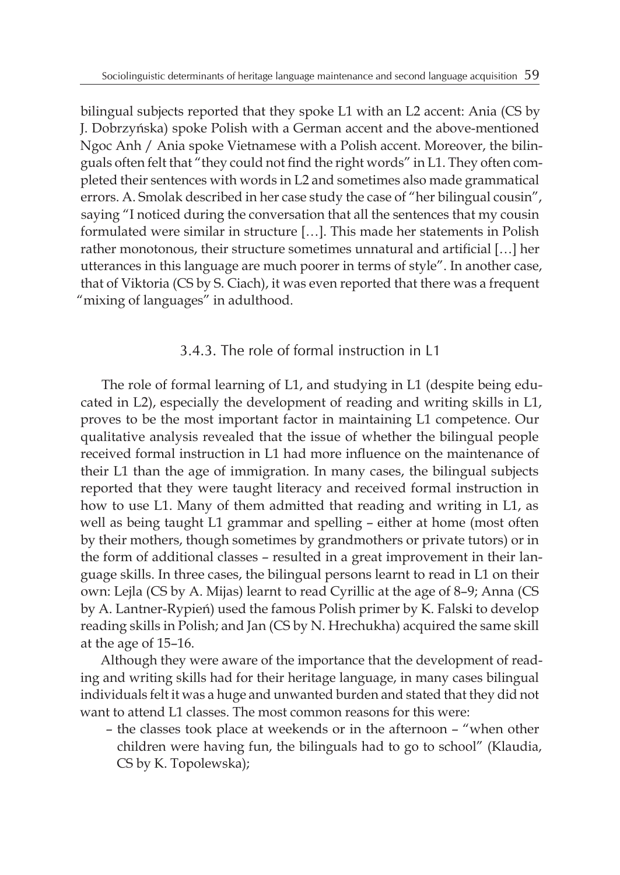bilingual subjects reported that they spoke L1 with an L2 accent: Ania (CS by J. Dobrzyńska) spoke Polish with a German accent and the above-mentioned Ngoc Anh / Ania spoke Vietnamese with a Polish accent. Moreover, the bilinguals often felt that "they could not find the right words" in L1. They often completed their sentences with words in L2 and sometimes also made grammatical errors. A. Smolak described in her case study the case of "her bilingual cousin", saying "I noticed during the conversation that all the sentences that my cousin formulated were similar in structure […]. This made her statements in Polish rather monotonous, their structure sometimes unnatural and artificial […] her utterances in this language are much poorer in terms of style". In another case, that of Viktoria (CS by S. Ciach), it was even reported that there was a frequent "mixing of languages" in adulthood.

# 3.4.3. The role of formal instruction in L1

The role of formal learning of L1, and studying in L1 (despite being educated in L2), especially the development of reading and writing skills in L1, proves to be the most important factor in maintaining L1 competence. Our qualitative analysis revealed that the issue of whether the bilingual people received formal instruction in L1 had more influence on the maintenance of their L1 than the age of immigration. In many cases, the bilingual subjects reported that they were taught literacy and received formal instruction in how to use L1. Many of them admitted that reading and writing in L1, as well as being taught L1 grammar and spelling – either at home (most often by their mothers, though sometimes by grandmothers or private tutors) or in the form of additional classes – resulted in a great improvement in their language skills. In three cases, the bilingual persons learnt to read in L1 on their own: Lejla (CS by A. Mijas) learnt to read Cyrillic at the age of 8–9; Anna (CS by A. Lantner-Rypień) used the famous Polish primer by K. Falski to develop reading skills in Polish; and Jan (CS by N. Hrechukha) acquired the same skill at the age of 15–16.

Although they were aware of the importance that the development of reading and writing skills had for their heritage language, in many cases bilingual individuals felt it was a huge and unwanted burden and stated that they did not want to attend L1 classes. The most common reasons for this were:

– the classes took place at weekends or in the afternoon – "when other children were having fun, the bilinguals had to go to school" (Klaudia, CS by K. Topolewska);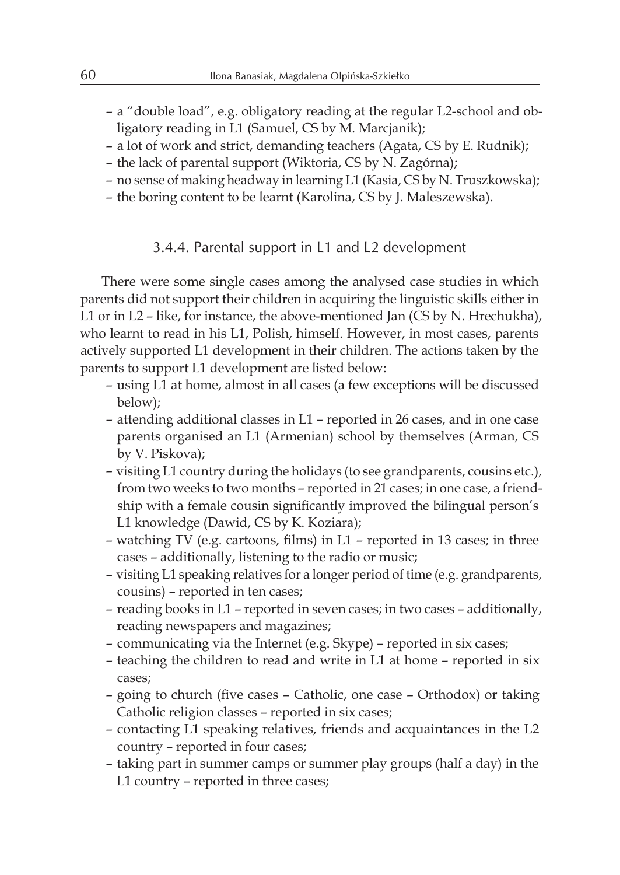- a "double load", e.g. obligatory reading at the regular L2-school and obligatory reading in L1 (Samuel, CS by M. Marcjanik);
- a lot of work and strict, demanding teachers (Agata, CS by E. Rudnik);
- the lack of parental support (Wiktoria, CS by N. Zagórna);
- no sense of making headway in learning L1 (Kasia, CS by N. Truszkowska);
- the boring content to be learnt (Karolina, CS by J. Maleszewska).

#### 3.4.4. Parental support in L1 and L2 development

There were some single cases among the analysed case studies in which parents did not support their children in acquiring the linguistic skills either in L1 or in L2 – like, for instance, the above-mentioned Jan (CS by N. Hrechukha), who learnt to read in his L1, Polish, himself. However, in most cases, parents actively supported L1 development in their children. The actions taken by the parents to support L1 development are listed below:

- using L1 at home, almost in all cases (a few exceptions will be discussed below);
- attending additional classes in L1 reported in 26 cases, and in one case parents organised an L1 (Armenian) school by themselves (Arman, CS by V. Piskova);
- visiting L1 country during the holidays (to see grandparents, cousins etc.), from two weeks to two months – reported in 21 cases; in one case, a friendship with a female cousin significantly improved the bilingual person's L1 knowledge (Dawid, CS by K. Koziara);
- watching TV (e.g. cartoons, films) in L1 reported in 13 cases; in three cases – additionally, listening to the radio or music;
- visiting L1 speaking relatives for a longer period of time (e.g. grandparents, cousins) – reported in ten cases;
- reading books in L1 reported in seven cases; in two cases additionally, reading newspapers and magazines;
- communicating via the Internet (e.g. Skype) reported in six cases;
- teaching the children to read and write in L1 at home reported in six cases;
- going to church (five cases Catholic, one case Orthodox) or taking Catholic religion classes – reported in six cases;
- contacting L1 speaking relatives, friends and acquaintances in the L2 country – reported in four cases;
- taking part in summer camps or summer play groups (half a day) in the L1 country – reported in three cases;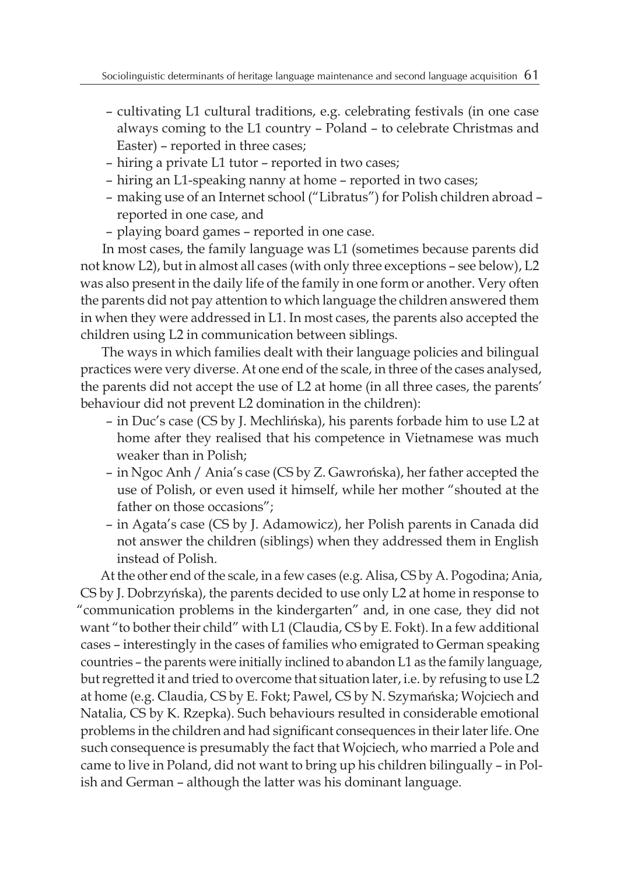- cultivating L1 cultural traditions, e.g. celebrating festivals (in one case always coming to the L1 country – Poland – to celebrate Christmas and Easter) – reported in three cases;
- hiring a private L1 tutor reported in two cases;
- hiring an L1-speaking nanny at home reported in two cases;
- making use of an Internet school ("Libratus") for Polish children abroad reported in one case, and
- playing board games reported in one case.

In most cases, the family language was L1 (sometimes because parents did not know L2), but in almost all cases (with only three exceptions – see below), L2 was also present in the daily life of the family in one form or another. Very often the parents did not pay attention to which language the children answered them in when they were addressed in L1. In most cases, the parents also accepted the children using L2 in communication between siblings.

The ways in which families dealt with their language policies and bilingual practices were very diverse. At one end of the scale, in three of the cases analysed, the parents did not accept the use of L2 at home (in all three cases, the parents' behaviour did not prevent L2 domination in the children):

- in Duc's case (CS by J. Mechlińska), his parents forbade him to use L2 at home after they realised that his competence in Vietnamese was much weaker than in Polish;
- in Ngoc Anh / Ania's case (CS by Z. Gawrońska), her father accepted the use of Polish, or even used it himself, while her mother "shouted at the father on those occasions";
- in Agata's case (CS by J. Adamowicz), her Polish parents in Canada did not answer the children (siblings) when they addressed them in English instead of Polish.

At the other end of the scale, in a few cases (e.g. Alisa, CS by A. Pogodina; Ania, CS by J. Dobrzyńska), the parents decided to use only L2 at home in response to "communication problems in the kindergarten" and, in one case, they did not want "to bother their child" with L1 (Claudia, CS by E. Fokt). In a few additional cases – interestingly in the cases of families who emigrated to German speaking countries – the parents were initially inclined to abandon L1 as the family language, but regretted it and tried to overcome that situation later, i.e. by refusing to use L2 at home (e.g. Claudia, CS by E. Fokt; Pawel, CS by N. Szymańska; Wojciech and Natalia, CS by K. Rzepka). Such behaviours resulted in considerable emotional problems in the children and had significant consequences in their later life. One such consequence is presumably the fact that Wojciech, who married a Pole and came to live in Poland, did not want to bring up his children bilingually – in Polish and German – although the latter was his dominant language.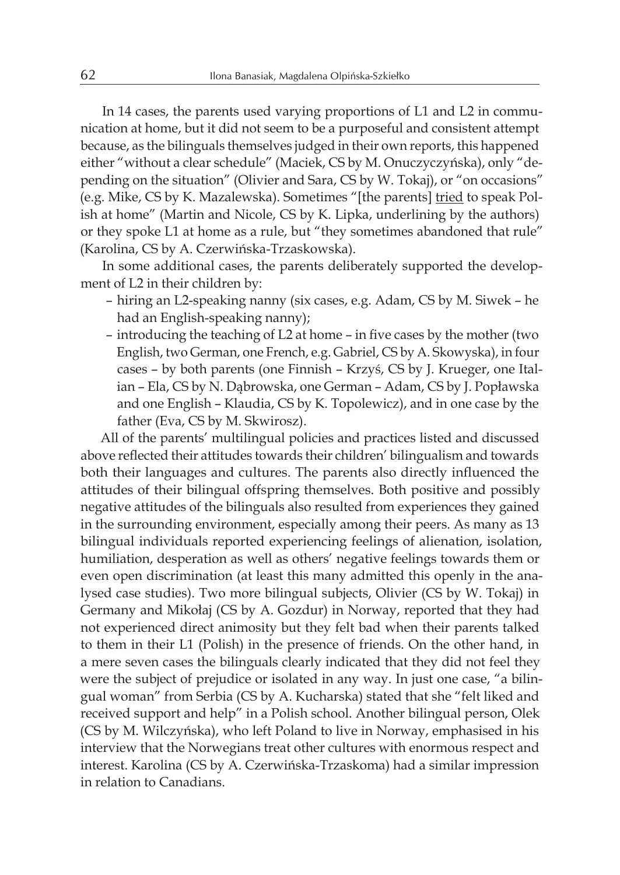In 14 cases, the parents used varying proportions of L1 and L2 in communication at home, but it did not seem to be a purposeful and consistent attempt because, as the bilinguals themselves judged in their own reports, this happened either "without a clear schedule" (Maciek, CS by M. Onuczyczyńska), only "depending on the situation" (Olivier and Sara, CS by W. Tokaj), or "on occasions" (e.g. Mike, CS by K. Mazalewska). Sometimes "[the parents] tried to speak Polish at home" (Martin and Nicole, CS by K. Lipka, underlining by the authors) or they spoke L1 at home as a rule, but "they sometimes abandoned that rule" (Karolina, CS by A. Czerwińska-Trzaskowska).

In some additional cases, the parents deliberately supported the development of L2 in their children by:

- hiring an L2-speaking nanny (six cases, e.g. Adam, CS by M. Siwek he had an English-speaking nanny);
- introducing the teaching of L2 at home in five cases by the mother (two English, two German, one French, e.g. Gabriel, CS by A. Skowyska), in four cases – by both parents (one Finnish – Krzyś, CS by J. Krueger, one Italian – Ela, CS by N. Dąbrowska, one German – Adam, CS by J. Popławska and one English – Klaudia, CS by K. Topolewicz), and in one case by the father (Eva, CS by M. Skwirosz).

All of the parents' multilingual policies and practices listed and discussed above reflected their attitudes towards their children' bilingualism and towards both their languages and cultures. The parents also directly influenced the attitudes of their bilingual offspring themselves. Both positive and possibly negative attitudes of the bilinguals also resulted from experiences they gained in the surrounding environment, especially among their peers. As many as 13 bilingual individuals reported experiencing feelings of alienation, isolation, humiliation, desperation as well as others' negative feelings towards them or even open discrimination (at least this many admitted this openly in the analysed case studies). Two more bilingual subjects, Olivier (CS by W. Tokaj) in Germany and Mikołaj (CS by A. Gozdur) in Norway, reported that they had not experienced direct animosity but they felt bad when their parents talked to them in their L1 (Polish) in the presence of friends. On the other hand, in a mere seven cases the bilinguals clearly indicated that they did not feel they were the subject of prejudice or isolated in any way. In just one case, "a bilingual woman" from Serbia (CS by A. Kucharska) stated that she "felt liked and received support and help" in a Polish school. Another bilingual person, Olek (CS by M. Wilczyńska), who left Poland to live in Norway, emphasised in his interview that the Norwegians treat other cultures with enormous respect and interest. Karolina (CS by A. Czerwińska-Trzaskoma) had a similar impression in relation to Canadians.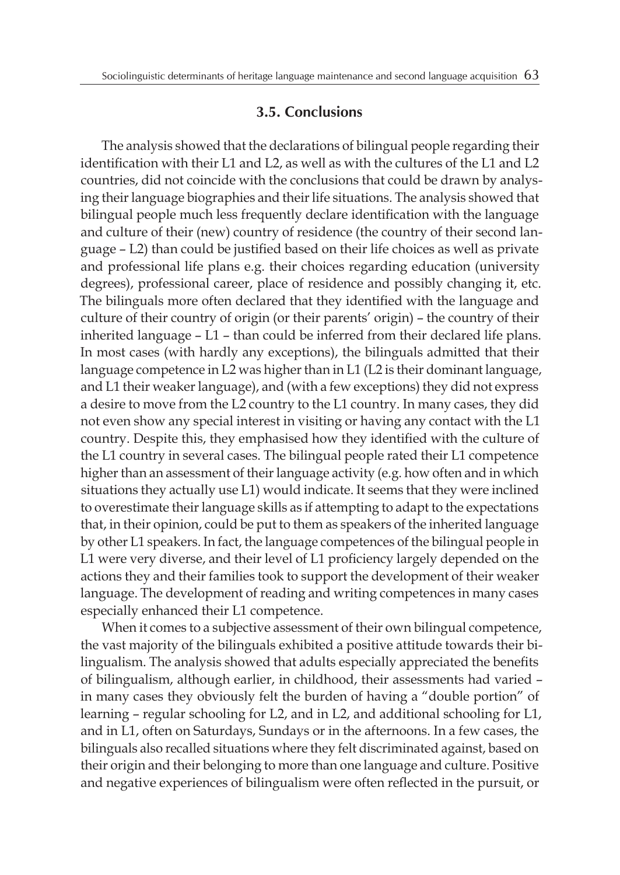#### **3.5. Conclusions**

The analysis showed that the declarations of bilingual people regarding their identification with their L1 and L2, as well as with the cultures of the L1 and L2 countries, did not coincide with the conclusions that could be drawn by analysing their language biographies and their life situations. The analysis showed that bilingual people much less frequently declare identification with the language and culture of their (new) country of residence (the country of their second language – L2) than could be justified based on their life choices as well as private and professional life plans e.g. their choices regarding education (university degrees), professional career, place of residence and possibly changing it, etc. The bilinguals more often declared that they identified with the language and culture of their country of origin (or their parents' origin) – the country of their inherited language – L1 – than could be inferred from their declared life plans. In most cases (with hardly any exceptions), the bilinguals admitted that their language competence in L2 was higher than in L1 (L2 is their dominant language, and L1 their weaker language), and (with a few exceptions) they did not express a desire to move from the L2 country to the L1 country. In many cases, they did not even show any special interest in visiting or having any contact with the L1 country. Despite this, they emphasised how they identified with the culture of the L1 country in several cases. The bilingual people rated their L1 competence higher than an assessment of their language activity (e.g. how often and in which situations they actually use L1) would indicate. It seems that they were inclined to overestimate their language skills as if attempting to adapt to the expectations that, in their opinion, could be put to them as speakers of the inherited language by other L1 speakers. In fact, the language competences of the bilingual people in L1 were very diverse, and their level of L1 proficiency largely depended on the actions they and their families took to support the development of their weaker language. The development of reading and writing competences in many cases especially enhanced their L1 competence.

When it comes to a subjective assessment of their own bilingual competence, the vast majority of the bilinguals exhibited a positive attitude towards their bilingualism. The analysis showed that adults especially appreciated the benefits of bilingualism, although earlier, in childhood, their assessments had varied – in many cases they obviously felt the burden of having a "double portion" of learning – regular schooling for L2, and in L2, and additional schooling for L1, and in L1, often on Saturdays, Sundays or in the afternoons. In a few cases, the bilinguals also recalled situations where they felt discriminated against, based on their origin and their belonging to more than one language and culture. Positive and negative experiences of bilingualism were often reflected in the pursuit, or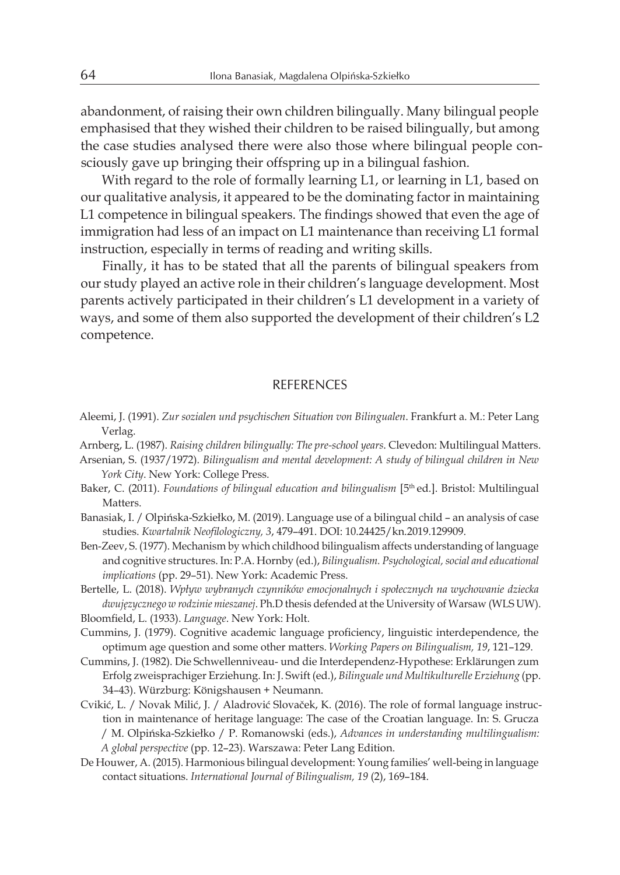abandonment, of raising their own children bilingually. Many bilingual people emphasised that they wished their children to be raised bilingually, but among the case studies analysed there were also those where bilingual people consciously gave up bringing their offspring up in a bilingual fashion.

With regard to the role of formally learning L1, or learning in L1, based on our qualitative analysis, it appeared to be the dominating factor in maintaining L1 competence in bilingual speakers. The findings showed that even the age of immigration had less of an impact on L1 maintenance than receiving L1 formal instruction, especially in terms of reading and writing skills.

Finally, it has to be stated that all the parents of bilingual speakers from our study played an active role in their children's language development. Most parents actively participated in their children's L1 development in a variety of ways, and some of them also supported the development of their children's L2 competence.

#### REFERENCES

- Aleemi, J. (1991). *Zur sozialen und psychischen Situation von Bilingualen*. Frankfurt a. M.: Peter Lang Verlag.
- Arnberg, L. (1987). *Raising children bilingually: The pre-school years*. Clevedon: Multilingual Matters.
- Arsenian, S. (1937/1972). *Bilingualism and mental development: A study of bilingual children in New York City*. New York: College Press.
- Baker, C. (2011). *Foundations of bilingual education and bilingualism* [5<sup>th</sup> ed.]. Bristol: Multilingual Matters.
- Banasiak, I. / Olpińska-Szkiełko, M. (2019). Language use of a bilingual child an analysis of case studies. *Kwartalnik Neofilologiczny, 3*, 479–491. DOI: 10.24425/kn.2019.129909.
- Ben-Zeev, S. (1977). Mechanism by which childhood bilingualism affects understanding of language and cognitive structures. In: P.A. Hornby (ed.), *Bilingualism. Psychological, social and educational implications* (pp. 29–51). New York: Academic Press.
- Bertelle, L. (2018). *Wpływ wybranych czynników emocjonalnych i społecznych na wychowanie dziecka dwujęzycznego w rodzinie mieszanej*. Ph.D thesis defended at the University of Warsaw (WLS UW).
- Bloomfield, L. (1933). *Language*. New York: Holt.
- Cummins, J. (1979). Cognitive academic language proficiency, linguistic interdependence, the optimum age question and some other matters. *Working Papers on Bilingualism, 19*, 121–129.
- Cummins, J. (1982). Die Schwellenniveau- und die Interdependenz-Hypothese: Erklärungen zum Erfolg zweisprachiger Erziehung. In: J. Swift (ed.), *Bilinguale und Multikulturelle Erziehung* (pp. 34–43). Würzburg: Königshausen + Neumann.
- Cvikić, L. / Novak Milić, J. / Aladrović Slovaček, K. (2016). The role of formal language instruction in maintenance of heritage language: The case of the Croatian language. In: S. Grucza / M. Olpińska-Szkiełko / P. Romanowski (eds.), *Advances in understanding multilingualism: A global perspective* (pp. 12–23). Warszawa: Peter Lang Edition.
- De Houwer, A. (2015). Harmonious bilingual development: Young families' well-being in language contact situations. *International Journal of Bilingualism, 19* (2), 169–184.